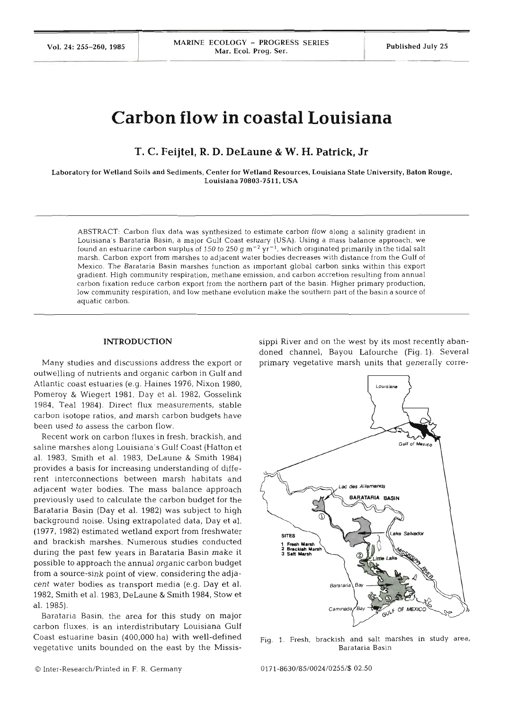Vol. 24: 255-260, 1985 **MARINE ECOLOGY - PROGRESS SERIES** Published July 25

# **Carbon flow in coastal Louisiana**

**T. C. Feijtel, R. D. DeLaune** & **W. H. Patrick, Jr** 

Laboratory for Wetland Soils and Sediments, Center for Wetland Resources, Louisiana State University, Baton Rouge, Louisiana **70803-751 1.** USA

ABSTRACT: Carbon flux data was synthesized to estimate carbon flow along a salinity gradient in Louisiana's Barataria Basin, a major Gulf Coast estuary (USA). Using a mass balance approach, we found an estuarine carbon surplus of 150 to 250  $g$  m<sup>-2</sup> yr<sup>-1</sup>, which originated primarily in the tidal salt marsh. Carbon export from marshes to adjacent water bodies decreases with distance from the Gulf of Mexico. The Barataria Basin marshes function as important global carbon sinks within this export gradient. High community respiration, methane emission, and carbon accretion resulting from annual carbon fixation reduce carbon export from the northern part of the basin. Higher primary production, low community respiration, and low methane evolution make the southern part of the basin a source of aquatic carbon.

## **INTRODUCTION**

Many studies and discussions address the export or outwelling of nutrients and organic carbon in Gulf and Atlantic coast estuaries (e.g. Haines 1976, Nixon 1980, Pomeroy & Wiegert 1981, Day et al. 1982, Gosselink 1984, Teal 1984). Direct flux measurements, stable carbon isotope ratios, and marsh carbon budgets have been used to assess the carbon flo

Recent work on carbon fluxes in fresh, brackish, and saline marshes along Louisiana's Gulf Coast (Hatton et al. 1983, Smith et al. 1983, DeLaune & Smith 1984) provides a basis for increasing understanding of different interconnections between marsh habitats a adjacent water bodies. The mass balance approach previously used to calculate the carbon budget for the Barataria Basin (Day et al. 1982) was subject to high background noise. Using extrapolated data, Day et al. (1977, 1982) estimated wetland export from freshwater and brackish marshes. Numerous studies conduc during the past few years in Barataria Basin make it possible to approach the annual organic carbon budget from a source-sink point of view, considering the adjacent water bodies as transport media (e.g. Day et al. 1982, Smith et al. 1983, DeLaune & Smith 1984, Stow et al. 1985).

Barataria Basin, the area for this study on major carbon fluxes, is an interdistributary Louisiana Gulf Coast estuarine basin (400,000 ha) with well-defined vegetative units bounded on the east by the Mississippi River and on the west by its most recently abandoned channel, Bayou Lafourche (Fig. l). Several primary vegetative marsh units that generally corre-



Fig. 1. Fresh, brackish and salt marshes in study area, Barataria Basin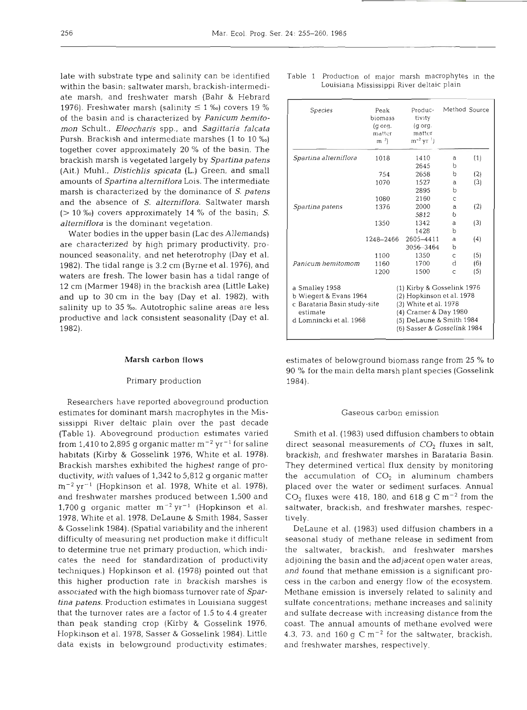late with substrate type and salinity can be identified within the basin: saltwater marsh, brackish-intermediate marsh, and freshwater marsh (Bahr & Hebrard 1976). Freshwater marsh (salinity  $\leq 1$  %) covers 19 % of the basin and is characterized by *Panicum hemitomon* Schult., *Eleocharis* spp., and *Sagittaria falcata*  Pursh. Brackish and intermediate marshes (1 to 10 %o) together cover approximately 20 % of the basin. The brackish marsh is vegetated largely by *Spartina patens*  (Ait.) Muhl., *Distichlis spicata* (L.) Green, and small amounts of *Spartina alterniflora* Lois. The intermediate marsh is characterized by the dominance of *S. patens*  and the absence of *S. alterniflora.* Saltwater marsh (> 10 %o) covers approximately 14 % of the basin; *S. alterniflora* is the dominant vegetation.

Water bodies in the upper basin (Lac des Allemands) are characterized by high primary productivity, pronounced seasonality, and net heterotrophy (Day et al. 1982). The tidal range is 3.2 cm (Byrne et al. 1976), and waters are fresh. The lower basin has a tidal range of 12 cm (Marmer 1948) in the brackish area (Little Lake) and up to 30 cm in the bay (Day et al. 1982), with salinity up to 35 %o. Autotrophic saline areas are less productive and lack consistent seasonality (Day et al. 1982).

## **Marsh carbon flows**

#### Primary production

Researchers have reported aboveground production estimates for dominant marsh macrophytes in the Mississippi River deltaic plain over the past decade (Table 1). Aboveground production estimates varied from 1,410 to 2,895 g organic matter  $m^{-2}$  yr<sup>-1</sup> for saline habitats (Kirby & Gosselink 1976, White et al. 1978). Brackish marshes exhibited the highest range of productivity, with values of 1,342 to 5,812 g organic matter  $m^{-2}$  yr<sup>-1</sup> (Hopkinson et al. 1978, White et al. 1978), and freshwater marshes produced between 1,500 and 1,700 g organic matter  $m^{-2} yr^{-1}$  (Hopkinson et al. 1978, White et al. 1978, DeLaune & Smith 1984, Sasser & Gosselink 1984). (Spatial variability and the inherent difficulty of measuring net production make it difficult to determine true net primary production, which indlcates the need for standardization of productivity techniques.) Hopkinson et al. (1978) pointed out that this higher production rate in brackish marshes is associated with the high biomass turnover rate of *Spartina patens.* Production estimates in Louisiana suggest that the turnover rates are a factor of 1.5 to 4.4 greater than peak standing crop (Kirby & Gosselink 1976, Hopkinson et al. 1978, Sasser & Gosselink 1984). Little data exists in belowground productivity estimates;

|  |                                           |  | Table 1  Production of major marsh macrophytes in the |  |
|--|-------------------------------------------|--|-------------------------------------------------------|--|
|  | Louisiana Mississippi River deltaic plain |  |                                                       |  |

| Species                      | Peak<br>biomass<br>(g org.<br>matter<br>m <sup>2</sup> | Produc-<br>tivity<br>(g org.<br>matter<br>$m^{-2}$ yr <sup>1</sup> )       |              | Method Source |  |
|------------------------------|--------------------------------------------------------|----------------------------------------------------------------------------|--------------|---------------|--|
| Spartina alterniflora        | 1018                                                   | 1410                                                                       | a            | (1)           |  |
|                              |                                                        | 2645                                                                       | b            |               |  |
|                              | 754                                                    | 2658                                                                       | b            | (2)           |  |
|                              | 1070                                                   | 1527                                                                       | a            | (3)           |  |
|                              |                                                        | 2895                                                                       | b            |               |  |
|                              | 1080                                                   | 2160                                                                       | $\mathsf{C}$ |               |  |
| Spartina patens              | 1376                                                   | 2000                                                                       | a            | (2)           |  |
|                              |                                                        | 5812                                                                       | b            |               |  |
|                              | 1350                                                   | 1342                                                                       | a            | (3)           |  |
|                              |                                                        | 1428                                                                       | h            |               |  |
|                              | 1248-2466                                              | 2605-4411                                                                  | a            | (4)           |  |
|                              |                                                        | 3056-3464                                                                  | b            |               |  |
|                              | 1100                                                   | 1350                                                                       | $\mathsf{C}$ | (5)           |  |
| Panicum hemitomom            | 1160                                                   | 1700                                                                       | d            | (6)           |  |
|                              | 1200                                                   | 1500                                                                       | C            | (5)           |  |
| a Smalley 1958               |                                                        | (1) Kirby & Gosselink 1976                                                 |              |               |  |
| b Wiegert & Evans 1964       |                                                        | (2) Hopkinson et al. 1978                                                  |              |               |  |
| c Barataria Basin study-site |                                                        | (3) White et al. 1978<br>(4) Cramer & Day 1980<br>(5) DeLaune & Smith 1984 |              |               |  |
| estimate                     |                                                        |                                                                            |              |               |  |
| d Lomnincki et al. 1968      |                                                        |                                                                            |              |               |  |
|                              |                                                        | (6) Sasser & Gosselink 1984                                                |              |               |  |

estimates of belowground biomass range from 25 % to 90 % for the main delta marsh plant species (Gosselink 1984).

#### Gaseous carbon emission

Smith et al. (1983) used diffusion chambers to obtain direct seasonal measurements of  $CO<sub>2</sub>$  fluxes in salt, brackish, and freshwater marshes in Barataria Basin. They determined vertical flux density by monitoring the accumulation of  $CO<sub>2</sub>$  in aluminum chambers placed over the water or sediment surfaces. Annual  $CO<sub>2</sub>$  fluxes were 418, 180, and 618 g C m<sup>-2</sup> from the saltwater, brackish, and freshwater marshes, respectively.

DeLaune et al. (1983) used diffusion chambers in a seasonal study of methane release in sediment from the saltwater, brackish, and freshwater marshes adjoining the basin and the adjacent open water areas, and found that methane emission is a significant process in the carbon and energy flow of the ecosystem. Methane emission is inversely related to salinity and sulfate concentrations; methane increases and salinity and sulfate decrease with increasing distance from the coast. The annual amounts of methane evolved were 4.3, 73, and 160 g  $C m^{-2}$  for the saltwater, brackish, and freshwater marshes, respectively.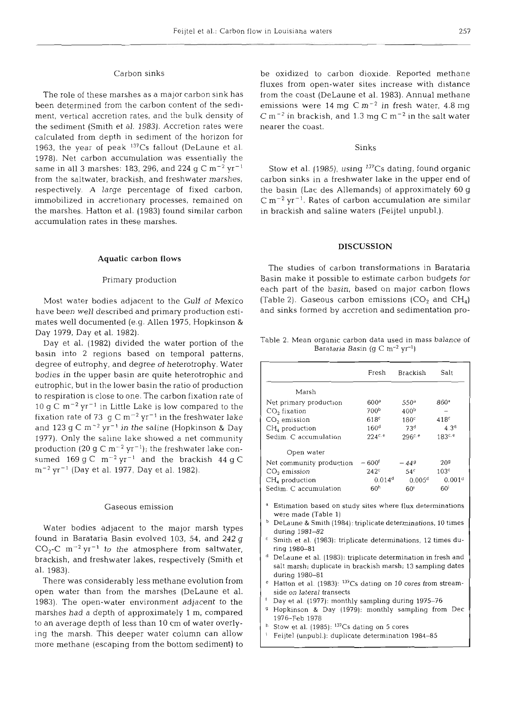## Carbon sinks

The role of these marshes as a major carbon sink has been determined from the carbon content of the sediment, vertical accretion rates, and the bulk density of the sediment (Smith et al. 1983). Accretion rates were calculated from depth in sediment of the horizon for 1963, the year of peak  $137Cs$  fallout (DeLaune et al. 1978). Net carbon accumulation was essentially the same in all 3 marshes: 183, 296, and 224  $\rm g~C~m^{-2}~yr^{-1}$ from the saltwater, brackish, and freshwater marshes, respectively. A large percentage of fixed carbon, immobilized in accretionary processes, remained on the marshes. Hatton et al. (1983) found similar carbon accumulation rates in these marshes.

## Aquatic carbon flows

#### Primary production

Most water bodies adjacent to the Gulf of Mexico have been well described and primary production estimates well documented (e.g. Allen 1975, Hopkinson & Day 1979, Day et al. 1982).

Day et al. (1982) divided the water portion of the basin into 2 regions based on temporal patterns, degree of eutrophy, and degree of heterotrophy. Water bodies in the upper basin are quite heterotrophic and eutrophic, but in the lower basin the ratio of production to respiration is close to one. The carbon fixation rate of 10 g C  $m^{-2}$  yr<sup>-1</sup> in Little Lake is low compared to the fixation rate of 73 g C  $m^{-2}$  yr<sup>-1</sup> in the freshwater lake and 123 g C  $m^{-2}$  yr<sup>-1</sup> in the saline (Hopkinson & Day 1977). Only the saline lake showed a net community production (20 g C  $m^{-2}$  yr<sup>-1</sup>); the freshwater lake consumed 169 g C  $m^{-2}$  yr<sup>-1</sup> and the brackish 44 g C  $\rm m^{-2}$  yr<sup>-1</sup> (Day et al. 1977, Day et al. 1982).

## Gaseous emission

Water bodies adjacent to the major marsh types found in Barataria Basin evolved 103, 54, and 242 g  $CO_2$ -C m<sup>-2</sup> yr<sup>-1</sup> to the atmosphere from saltwater, brackish, and freshwater lakes, respectively (Smith et al. 1983).

There was considerably less methane evolution from open water than from the marshes (DeLaune et al. 1983). The open-water environment adjacent to the marshes had a depth of approximately 1 m, compared to an average depth of less than 10 cm of water overlying the marsh. This deeper water column can allow more methane (escaping from the bottom sediment) to

be oxidized to carbon dioxide. Reported methane fluxes from open-water sites increase with distance from the coast (DeLaune et al. 1983). Annual methane emissions were  $14 \text{ mg } \text{C m}^{-2}$  in fresh water,  $4.8 \text{ mg}$  $\rm C~m^{-2}$  in brackish, and 1.3 mg  $\rm C~m^{-2}$  in the salt water nearer the coast.

# Sinks

Stow et al. (1985), using  $137Cs$  dating, found organic carbon sinks in a freshwater lake in the upper end of the basin (Lac des Allemands) of approximately 60 g  $\rm C~m^{-2}~yr^{-1}$ . Rates of carbon accumulation are similar in brackish and saline waters (Feijtel unpubl.).

#### **DISCUSSION**

The studies of carbon transformations in Barataria Basin make it possible to estimate carbon budgets for each part of the basin, based on major carbon flows (Table 2). Gaseous carbon emissions  $(CO<sub>2</sub>$  and  $CH<sub>4</sub>)$ and sinks formed by accretion and sedimentation pro-

Table 2. Mean organic carbon data used in mass balance of Barataria Basin (g C m<sup>-2</sup> yr<sup>-1</sup>)

|                                                                                                                                                                             | Fresh                                                        | Brackish           | Salt                |  |  |  |  |
|-----------------------------------------------------------------------------------------------------------------------------------------------------------------------------|--------------------------------------------------------------|--------------------|---------------------|--|--|--|--|
| Marsh                                                                                                                                                                       |                                                              |                    |                     |  |  |  |  |
| Net primary production                                                                                                                                                      | 600 <sup>a</sup>                                             | 550 <sup>a</sup>   | 860 <sup>a</sup>    |  |  |  |  |
| CO <sub>2</sub> fixation                                                                                                                                                    | 700 <sup>b</sup>                                             | 400 <sup>b</sup>   |                     |  |  |  |  |
| $CO2$ emission                                                                                                                                                              | 618 <sup>c</sup>                                             | 180 <sup>c</sup>   | 418 <sup>c</sup>    |  |  |  |  |
| $CH4$ production                                                                                                                                                            | 160 <sup>d</sup>                                             | 73 <sup>d</sup>    | $4.3^{d}$           |  |  |  |  |
| Sedim. C accumulation                                                                                                                                                       | $224^{c. e}$                                                 | 296c. e            | 183 <sup>c, e</sup> |  |  |  |  |
| Open water                                                                                                                                                                  |                                                              |                    |                     |  |  |  |  |
| Net community production                                                                                                                                                    | $-600t$                                                      | $-449$             | 20 <sup>g</sup>     |  |  |  |  |
| $CO2$ emission                                                                                                                                                              | 242c                                                         | 54 <sup>c</sup>    | 103 <sup>c</sup>    |  |  |  |  |
| $CH4$ production                                                                                                                                                            | $0.014^d$                                                    | 0.005 <sup>d</sup> | 0.001 <sup>d</sup>  |  |  |  |  |
| Sedim. C accumulation                                                                                                                                                       | 60 <sup>h</sup>                                              | 60 <sup>1</sup>    | 60 <sup>i</sup>     |  |  |  |  |
| a<br>Estimation based on study sites where flux determinations<br>were made (Table 1)<br>b<br>DeLaune & Smith (1984): triplicate determinations, 10 times<br>during 1981-82 |                                                              |                    |                     |  |  |  |  |
| c                                                                                                                                                                           | Smith et al. (1983): triplicate determinations, 12 times du- |                    |                     |  |  |  |  |
| ring 1980-81                                                                                                                                                                |                                                              |                    |                     |  |  |  |  |
| d<br>DeLaune et al. (1983): triplicate determination in fresh and                                                                                                           |                                                              |                    |                     |  |  |  |  |
| salt marsh; duplicate in brackish marsh; 13 sampling dates<br>during 1980-81                                                                                                |                                                              |                    |                     |  |  |  |  |
| Hatton et al. (1983): <sup>137</sup> Cs dating on 10 cores from stream-<br>e                                                                                                |                                                              |                    |                     |  |  |  |  |
| side on lateral transects                                                                                                                                                   |                                                              |                    |                     |  |  |  |  |
| f                                                                                                                                                                           | Day et al. (1977): monthly sampling during 1975–76           |                    |                     |  |  |  |  |
| g                                                                                                                                                                           | Hopkinson & Day (1979): monthly sampling from Dec            |                    |                     |  |  |  |  |
| 1976-Feb 1978                                                                                                                                                               |                                                              |                    |                     |  |  |  |  |
| h                                                                                                                                                                           | Stow et al. $(1985)$ : $137Cs$ dating on 5 cores             |                    |                     |  |  |  |  |

Feijtel (unpubl.): duplicate determination 1984-85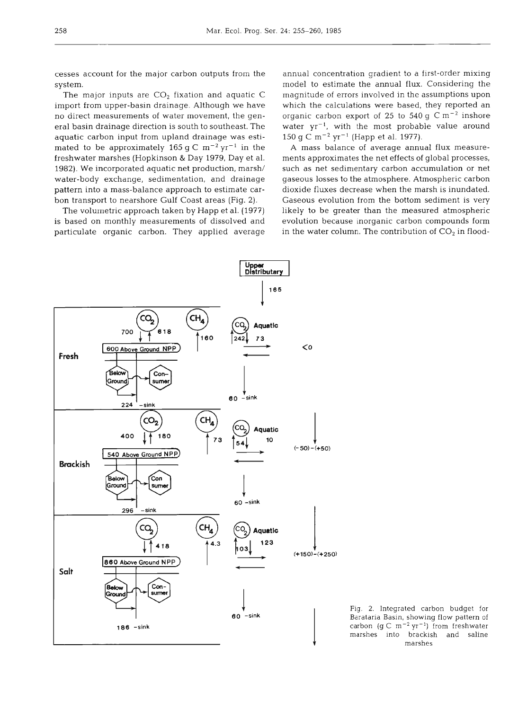cesses account for the major carbon outputs from the system.

The major inputs are  $CO<sub>2</sub>$  fixation and aquatic C import from upper-basin drainage. Although we have no direct measurements of water movement, the general basin drainage direction is south to southeast. The aquatic carbon input from upland drainage was estimated to be approximately 165 g C  $m^{-2}$  yr<sup>-1</sup> in the freshwater marshes (Hopkinson & Day 1979, Day et al. 1982). We incorporated aquatic net production, marsh/ water-body exchange, sedimentation, and drainage pattern into a mass-balance approach to estimate carbon transport to nearshore Gulf Coast areas (Fig. 2).

The volumetric approach taken by Happ et al. (1977) is based on monthly measurements of dissolved and particulate organic carbon. They applied average

annual concentration gradient to a first-order mixing model to estimate the annual flux. Considering the magnitude of errors involved in the assumptions upon which the calculations were based, they reported an organic carbon export of 25 to 540 g C  $\rm m^{-2}$  inshore water  $yr^{-1}$ , with the most probable value around 150 g C m<sup>-2</sup> yr<sup>-1</sup> (Happ et al. 1977).

A mass balance of average annual flux measurements approximates the net effects of global processes, such as net sedimentary carbon accumulation or net gaseous losses to the atmosphere. Atmospheric carbon dioxide fluxes decrease when the marsh is inundated. Gaseous evolution from the bottom sediment is very likely to be greater than the measured atmospheric evolution because inorganic carbon compounds form in the water column. The contribution of  $CO<sub>2</sub>$  in flood-



Fig. 2. Integrated carbon budget for Barataria Basin, showing flow pattern of carbon (g C m<sup>-2</sup> yr<sup>-1</sup>) from freshwater marshes into brackish and saline marshes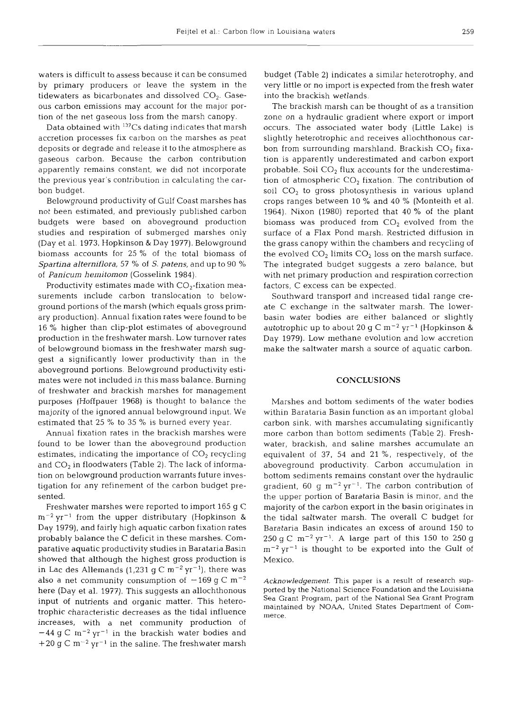waters is difficult to assess because it can be consumed by primary producers or leave the system in the tidewaters as bicarbonates and dissolved  $CO<sub>2</sub>$ . Gaseous carbon emissions may account for the major portion of the net gaseous loss from the marsh canopy.

Data obtained with 13'Cs dating indicates that marsh accretion processes fix carbon on the marshes as peat deposits or degrade and release it to the atmosphere as gaseous carbon. Because the carbon contribution apparently remains constant, we did not incorporate the previous year's contribution in calculating the carbon budget.

Belowground productivity of Gulf Coast marshes has not been estimated, and previously published carbon budgets were based on aboveground production studies and respiration of submerged marshes only (Day et al. 1973, Hopkinson & Day 1977). Belowground biomass accounts for 25 % of the total biomass of *Spartina alterniflora,* 57 % of S. *patens,* and up to 90 % of *Panicum hemitornon* (Gosselink 1984).

Productivity estimates made with  $CO<sub>2</sub>$ -fixation measurements include carbon translocation to belowground portions of the marsh (which equals gross primary production). Annual fixation rates were found to be 16 % higher than clip-plot estimates of aboveground production in the freshwater marsh. Low turnover rates of belowground biomass in the freshwater marsh suggest a significantly lower productivity than in the aboveground portions. Belowground productivity estimates were not included in this mass balance. Burning of freshwater and brackish marshes for management purposes (Hoffpauer 1968) is thought to balance the majority of the ignored annual belowground input. We estimated that 25 % to 35 % is burned every year.

Annual fixation rates in the brackish marshes were found to be lower than the aboveground production estimates, indicating the importance of  $CO<sub>2</sub>$  recycling and  $CO<sub>2</sub>$  in floodwaters (Table 2). The lack of information on belowground production warrants future investigation for any refinement of the carbon budget presented.

Freshwater marshes were reported to import 165 g C  $m^{-2}$  yr<sup>-1</sup> from the upper distributary (Hopkinson & Day 1979), and fairly high aquatic carbon fixation rates probably balance the C deficit in these marshes. Comparative aquatic productivity studies in Barataria Basin showed that although the highest gross production is in Lac des Allemands (1,231 g C  $\rm m^{-2}$  yr<sup>-1</sup>), there was also a net community consumption of  $-169$  g C m<sup>-2</sup> here (Day et al. 1977). This suggests an allochthonous input of nutrients and organic matter. This heterotrophic characteristic decreases as the tidal influence increases, with a net community production of  $-44$  g C m<sup>-2</sup> yr<sup>-1</sup> in the brackish water bodies and +20 g C  $\rm m^{-2}$  yr<sup>-1</sup> in the saline. The freshwater marsh

budget (Table 2) indicates a similar heterotrophy, and very little or no import is expected from the fresh water into the brackish wetlands.

The brackish marsh can be thought of as a transition zone on a hydraulic gradient where export or import occurs. The associated water body (Little Lake) is slightly heterotrophic and receives allochthonous carbon from surrounding marshland. Brackish  $CO<sub>2</sub>$  fixation is apparently underestimated and carbon export probable. Soil  $CO<sub>2</sub>$  flux accounts for the underestimation of atmospheric  $CO<sub>2</sub>$  fixation. The contribution of soil  $CO<sub>2</sub>$  to gross photosynthesis in various upland crops ranges between 10 % and 40 % (Monteith et al. 1964). Nixon (1980) reported that 40 % of the plant biomass was produced from  $CO<sub>2</sub>$  evolved from the surface of a Flax Pond marsh. Restricted diffusion in the grass canopy within the chambers and recycling of the evolved  $CO<sub>2</sub>$  limits  $CO<sub>2</sub>$  loss on the marsh surface. The integrated budget suggests a zero balance, but with net primary production and respiration correction factors, C excess can be expected.

Southward transport and increased tidal range create C exchange in the saltwater marsh. The lowerbasin water bodies are either balanced or slightly autotrophic up to about 20 g C  $m^{-2}$  yr<sup>-1</sup> (Hopkinson & Day 1979). Low methane evolution and low accretion make the saltwater marsh a source of aquatic carbon.

#### **CONCLUSIONS**

Marshes and bottom sediments of the water bodies within Barataria Basin function as an important global carbon sink, with marshes accumulating significantly more carbon than bottom sediments (Table 2). Freshwater, brackish, and saline marshes accumulate an equivalent of 37, 54 and 21 %, respectively, of the aboveground productivity. Carbon accumulation in bottom sediments remains constant over the hydraulic gradient, 60 g  $m^{-2}$  yr<sup>-1</sup>. The carbon contribution of the upper portion of Barataria Basin is minor, and the majority of the carbon export in the basin originates in the tidal saltwater marsh. The overall C budget for Barataria Basin indicates an excess of around 150 to  $250 \text{ g C m}^{-2} \text{ yr}^{-1}$ . A large part of this 150 to 250 g  $m^{-2}$  yr<sup>-1</sup> is thought to be exported into the Gulf of Mexico.

Acknowledgement. This paper is a result of research supported by the National Science Foundation and the Louisiana Sea Grant Program, part of the National Sea Grant Program maintained by NOAA, United States Department of Commerce.